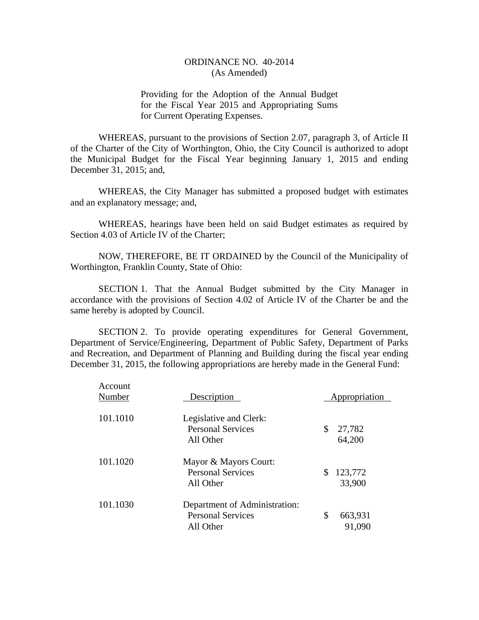Providing for the Adoption of the Annual Budget for the Fiscal Year 2015 and Appropriating Sums for Current Operating Expenses.

WHEREAS, pursuant to the provisions of Section 2.07, paragraph 3, of Article II of the Charter of the City of Worthington, Ohio, the City Council is authorized to adopt the Municipal Budget for the Fiscal Year beginning January 1, 2015 and ending December 31, 2015; and,

WHEREAS, the City Manager has submitted a proposed budget with estimates and an explanatory message; and,

WHEREAS, hearings have been held on said Budget estimates as required by Section 4.03 of Article IV of the Charter;

NOW, THEREFORE, BE IT ORDAINED by the Council of the Municipality of Worthington, Franklin County, State of Ohio:

SECTION 1. That the Annual Budget submitted by the City Manager in accordance with the provisions of Section 4.02 of Article IV of the Charter be and the same hereby is adopted by Council.

SECTION 2. To provide operating expenditures for General Government, Department of Service/Engineering, Department of Public Safety, Department of Parks and Recreation, and Department of Planning and Building during the fiscal year ending December 31, 2015, the following appropriations are hereby made in the General Fund:

| Account<br>Number | Description                                                            | Appropriation           |  |
|-------------------|------------------------------------------------------------------------|-------------------------|--|
| 101.1010          | Legislative and Clerk:<br><b>Personal Services</b><br>All Other        | \$<br>27,782<br>64,200  |  |
| 101.1020          | Mayor & Mayors Court:<br><b>Personal Services</b><br>All Other         | 123,772<br>S.<br>33,900 |  |
| 101.1030          | Department of Administration:<br><b>Personal Services</b><br>All Other | \$<br>663,931<br>91,090 |  |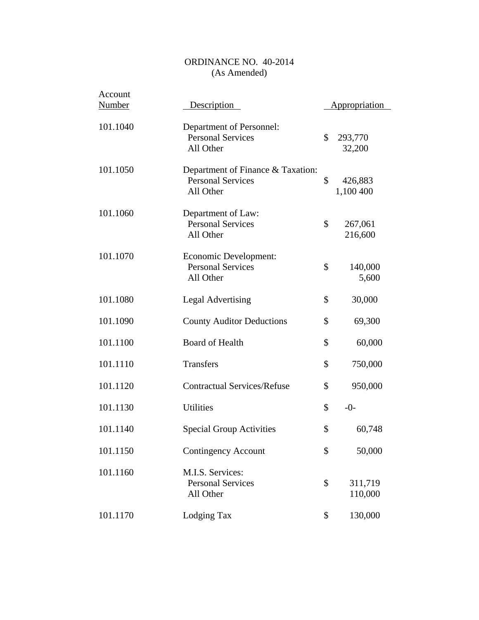| Account<br><b>Number</b> | Description                                                                | Appropriation              |
|--------------------------|----------------------------------------------------------------------------|----------------------------|
|                          |                                                                            |                            |
| 101.1040                 | Department of Personnel:<br><b>Personal Services</b><br>All Other          | \$<br>293,770<br>32,200    |
| 101.1050                 | Department of Finance & Taxation:<br><b>Personal Services</b><br>All Other | \$<br>426,883<br>1,100 400 |
| 101.1060                 | Department of Law:<br><b>Personal Services</b><br>All Other                | \$<br>267,061<br>216,600   |
| 101.1070                 | Economic Development:<br><b>Personal Services</b><br>All Other             | \$<br>140,000<br>5,600     |
| 101.1080                 | <b>Legal Advertising</b>                                                   | \$<br>30,000               |
| 101.1090                 | <b>County Auditor Deductions</b>                                           | \$<br>69,300               |
| 101.1100                 | <b>Board of Health</b>                                                     | \$<br>60,000               |
| 101.1110                 | <b>Transfers</b>                                                           | \$<br>750,000              |
| 101.1120                 | <b>Contractual Services/Refuse</b>                                         | \$<br>950,000              |
| 101.1130                 | <b>Utilities</b>                                                           | \$<br>$-0-$                |
| 101.1140                 | <b>Special Group Activities</b>                                            | \$<br>60,748               |
| 101.1150                 | <b>Contingency Account</b>                                                 | \$<br>50,000               |
| 101.1160                 | M.I.S. Services:<br><b>Personal Services</b><br>All Other                  | \$<br>311,719<br>110,000   |
| 101.1170                 | Lodging Tax                                                                | \$<br>130,000              |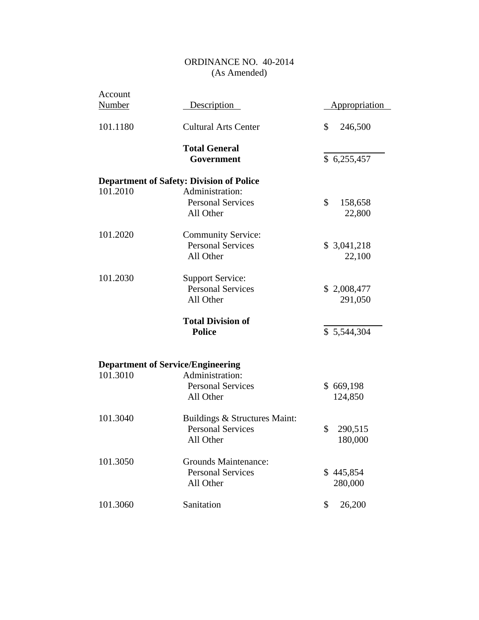|                                                 | <u>Appropriation</u>                                                                                                                                                                                                                                |
|-------------------------------------------------|-----------------------------------------------------------------------------------------------------------------------------------------------------------------------------------------------------------------------------------------------------|
| <b>Cultural Arts Center</b>                     | \$<br>246,500                                                                                                                                                                                                                                       |
| <b>Total General</b>                            |                                                                                                                                                                                                                                                     |
| Government                                      | \$6,255,457                                                                                                                                                                                                                                         |
| <b>Department of Safety: Division of Police</b> |                                                                                                                                                                                                                                                     |
| Administration:                                 |                                                                                                                                                                                                                                                     |
| <b>Personal Services</b>                        | \$<br>158,658                                                                                                                                                                                                                                       |
|                                                 | 22,800                                                                                                                                                                                                                                              |
| <b>Community Service:</b>                       |                                                                                                                                                                                                                                                     |
| <b>Personal Services</b>                        | \$3,041,218                                                                                                                                                                                                                                         |
| All Other                                       | 22,100                                                                                                                                                                                                                                              |
| <b>Support Service:</b>                         |                                                                                                                                                                                                                                                     |
| <b>Personal Services</b>                        | \$2,008,477                                                                                                                                                                                                                                         |
| All Other                                       | 291,050                                                                                                                                                                                                                                             |
| <b>Total Division of</b>                        |                                                                                                                                                                                                                                                     |
| <b>Police</b>                                   | \$5,544,304                                                                                                                                                                                                                                         |
|                                                 |                                                                                                                                                                                                                                                     |
|                                                 |                                                                                                                                                                                                                                                     |
|                                                 | \$669,198                                                                                                                                                                                                                                           |
|                                                 | 124,850                                                                                                                                                                                                                                             |
|                                                 |                                                                                                                                                                                                                                                     |
|                                                 |                                                                                                                                                                                                                                                     |
|                                                 | \$<br>290,515                                                                                                                                                                                                                                       |
|                                                 | 180,000                                                                                                                                                                                                                                             |
| <b>Grounds Maintenance:</b>                     |                                                                                                                                                                                                                                                     |
|                                                 | \$445,854                                                                                                                                                                                                                                           |
|                                                 | 280,000                                                                                                                                                                                                                                             |
| Sanitation                                      | \$<br>26,200                                                                                                                                                                                                                                        |
|                                                 | Description<br>All Other<br><b>Department of Service/Engineering</b><br>Administration:<br><b>Personal Services</b><br>All Other<br>Buildings & Structures Maint:<br><b>Personal Services</b><br>All Other<br><b>Personal Services</b><br>All Other |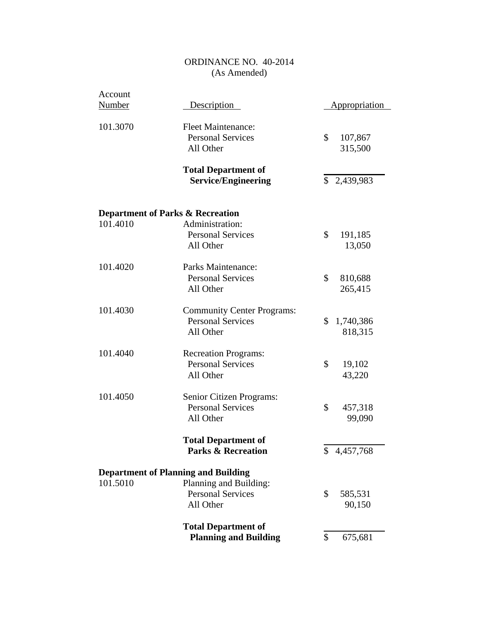| Account       |                                                                            |                            |        |
|---------------|----------------------------------------------------------------------------|----------------------------|--------|
| <b>Number</b> | Description                                                                | <b>Appropriation</b>       |        |
| 101.3070      | <b>Fleet Maintenance:</b><br><b>Personal Services</b><br>All Other         | \$<br>107,867<br>315,500   |        |
|               | <b>Total Department of</b><br><b>Service/Engineering</b>                   | \$2,439,983                |        |
|               | <b>Department of Parks &amp; Recreation</b>                                |                            |        |
| 101.4010      | Administration:<br><b>Personal Services</b><br>All Other                   | \$<br>191,185<br>13,050    |        |
| 101.4020      | Parks Maintenance:<br><b>Personal Services</b><br>All Other                | \$<br>810,688<br>265,415   |        |
| 101.4030      | <b>Community Center Programs:</b><br><b>Personal Services</b><br>All Other | \$<br>1,740,386<br>818,315 |        |
| 101.4040      | <b>Recreation Programs:</b><br><b>Personal Services</b><br>All Other       | \$<br>19,102<br>43,220     |        |
| 101.4050      | Senior Citizen Programs:<br><b>Personal Services</b><br>All Other          | \$<br>457,318              | 99,090 |
|               | <b>Total Department of</b><br><b>Parks &amp; Recreation</b>                | 4,457,768<br>\$            |        |
|               | <b>Department of Planning and Building</b>                                 |                            |        |
| 101.5010      | Planning and Building:<br><b>Personal Services</b><br>All Other            | \$<br>585,531<br>90,150    |        |
|               | <b>Total Department of</b><br><b>Planning and Building</b>                 | \$<br>675,681              |        |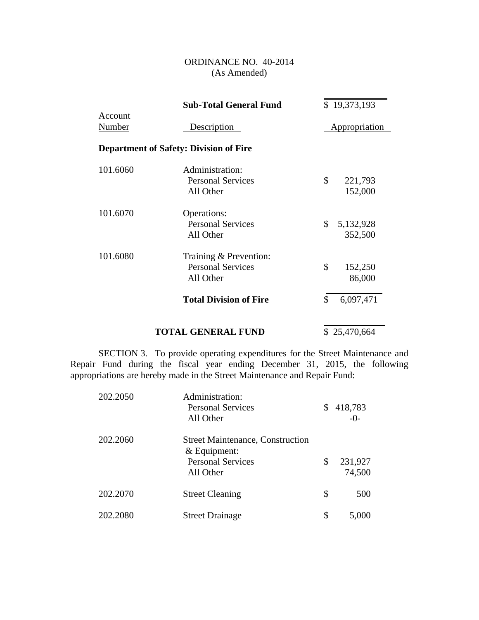|                   | <b>Sub-Total General Fund</b>                                   | \$19,373,193               |
|-------------------|-----------------------------------------------------------------|----------------------------|
| Account<br>Number | Description                                                     | Appropriation              |
|                   | <b>Department of Safety: Division of Fire</b>                   |                            |
| 101.6060          | Administration:<br><b>Personal Services</b><br>All Other        | \$<br>221,793<br>152,000   |
| 101.6070          | Operations:<br><b>Personal Services</b><br>All Other            | \$<br>5,132,928<br>352,500 |
| 101.6080          | Training & Prevention:<br><b>Personal Services</b><br>All Other | \$<br>152,250<br>86,000    |
|                   | <b>Total Division of Fire</b>                                   | \$<br>6,097,471            |
|                   | <b>TOTAL GENERAL FUND</b>                                       | \$25,470,664               |

SECTION 3. To provide operating expenditures for the Street Maintenance and Repair Fund during the fiscal year ending December 31, 2015, the following appropriations are hereby made in the Street Maintenance and Repair Fund:

| 202.2050 | Administration:<br><b>Personal Services</b><br>All Other                                           | \$<br>418,783<br>$-()$  |
|----------|----------------------------------------------------------------------------------------------------|-------------------------|
| 202.2060 | <b>Street Maintenance, Construction</b><br>$&$ Equipment:<br><b>Personal Services</b><br>All Other | \$<br>231,927<br>74,500 |
| 202.2070 | <b>Street Cleaning</b>                                                                             | \$<br>500               |
| 202.2080 | <b>Street Drainage</b>                                                                             | \$<br>5,000             |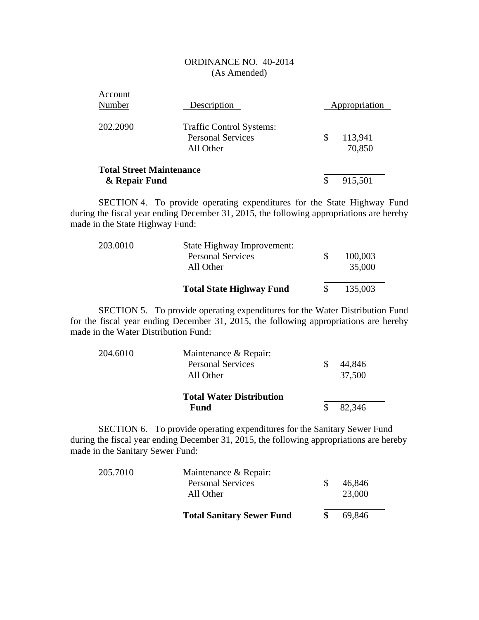| Account<br>Number                                | Description                                                              | Appropriation           |
|--------------------------------------------------|--------------------------------------------------------------------------|-------------------------|
| 202.2090                                         | <b>Traffic Control Systems:</b><br><b>Personal Services</b><br>All Other | \$<br>113,941<br>70,850 |
| <b>Total Street Maintenance</b><br>& Repair Fund |                                                                          | \$<br>915,501           |

SECTION 4. To provide operating expenditures for the State Highway Fund during the fiscal year ending December 31, 2015, the following appropriations are hereby made in the State Highway Fund:

|          | <b>Total State Highway Fund</b>       | 135,003           |
|----------|---------------------------------------|-------------------|
|          | <b>Personal Services</b><br>All Other | 100,003<br>35,000 |
| 203.0010 | State Highway Improvement:            |                   |

SECTION 5. To provide operating expenditures for the Water Distribution Fund for the fiscal year ending December 31, 2015, the following appropriations are hereby made in the Water Distribution Fund:

| 204.6010 | Maintenance & Repair:           |        |
|----------|---------------------------------|--------|
|          | <b>Personal Services</b>        | 44,846 |
|          | All Other                       | 37,500 |
|          | <b>Total Water Distribution</b> |        |
|          | Fund                            | 82,346 |

SECTION 6. To provide operating expenditures for the Sanitary Sewer Fund during the fiscal year ending December 31, 2015, the following appropriations are hereby made in the Sanitary Sewer Fund:

|          | <b>Total Sanitary Sewer Fund</b>      | 69,846           |
|----------|---------------------------------------|------------------|
|          | <b>Personal Services</b><br>All Other | 46,846<br>23,000 |
| 205.7010 | Maintenance & Repair:                 |                  |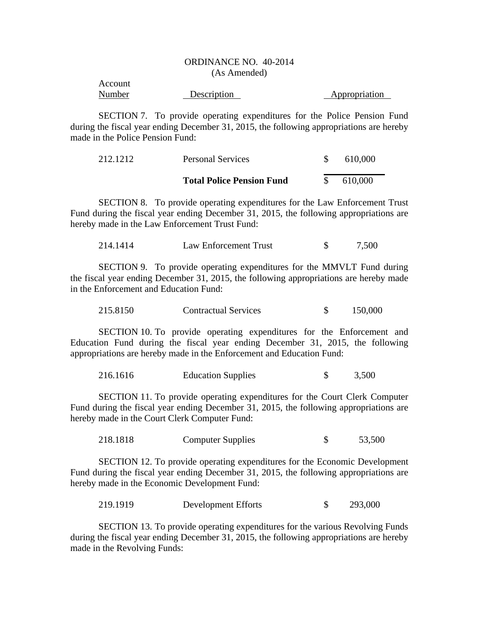| Account |             |               |
|---------|-------------|---------------|
| Number  | Description | Appropriation |

SECTION 7. To provide operating expenditures for the Police Pension Fund during the fiscal year ending December 31, 2015, the following appropriations are hereby made in the Police Pension Fund:

| 212.1212 | <b>Personal Services</b>         | 610,000 |
|----------|----------------------------------|---------|
|          | <b>Total Police Pension Fund</b> | 610,000 |

SECTION 8. To provide operating expenditures for the Law Enforcement Trust Fund during the fiscal year ending December 31, 2015, the following appropriations are hereby made in the Law Enforcement Trust Fund:

| 214.1414 | Law Enforcement Trust |  | 7,500 |
|----------|-----------------------|--|-------|
|----------|-----------------------|--|-------|

SECTION 9. To provide operating expenditures for the MMVLT Fund during the fiscal year ending December 31, 2015, the following appropriations are hereby made in the Enforcement and Education Fund:

| 215.8150<br><b>Contractual Services</b> |  | 150,000 |
|-----------------------------------------|--|---------|
|-----------------------------------------|--|---------|

SECTION 10. To provide operating expenditures for the Enforcement and Education Fund during the fiscal year ending December 31, 2015, the following appropriations are hereby made in the Enforcement and Education Fund:

216.1616 Education Supplies \$ 3,500

SECTION 11. To provide operating expenditures for the Court Clerk Computer Fund during the fiscal year ending December 31, 2015, the following appropriations are hereby made in the Court Clerk Computer Fund:

218.1818 Computer Supplies \$ 53,500

SECTION 12. To provide operating expenditures for the Economic Development Fund during the fiscal year ending December 31, 2015, the following appropriations are hereby made in the Economic Development Fund:

219.1919 Development Efforts \$ 293,000

SECTION 13. To provide operating expenditures for the various Revolving Funds during the fiscal year ending December 31, 2015, the following appropriations are hereby made in the Revolving Funds: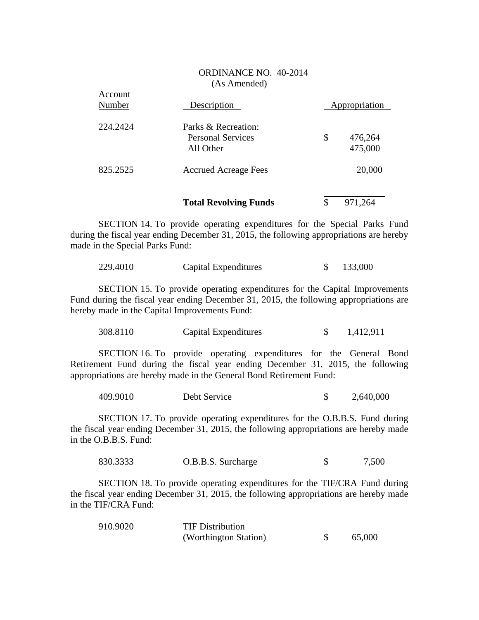|                   | <b>Total Revolving Funds</b>                                 | \$<br>971,264            |
|-------------------|--------------------------------------------------------------|--------------------------|
| 825.2525          | <b>Accrued Acreage Fees</b>                                  | 20,000                   |
| 224.2424          | Parks & Recreation:<br><b>Personal Services</b><br>All Other | \$<br>476,264<br>475,000 |
| Account<br>Number | Description                                                  | Appropriation            |

 $A$ count

SECTION 14. To provide operating expenditures for the Special Parks Fund during the fiscal year ending December 31, 2015, the following appropriations are hereby made in the Special Parks Fund:

| 229.4010 | Capital Expenditures | 133,000 |
|----------|----------------------|---------|
|----------|----------------------|---------|

SECTION 15. To provide operating expenditures for the Capital Improvements Fund during the fiscal year ending December 31, 2015, the following appropriations are hereby made in the Capital Improvements Fund:

| 308.8110 | Capital Expenditures |  | 1,412,911 |
|----------|----------------------|--|-----------|
|----------|----------------------|--|-----------|

SECTION 16. To provide operating expenditures for the General Bond Retirement Fund during the fiscal year ending December 31, 2015, the following appropriations are hereby made in the General Bond Retirement Fund:

| 409.9010<br>Debt Service |  | 2,640,000 |
|--------------------------|--|-----------|
|--------------------------|--|-----------|

SECTION 17. To provide operating expenditures for the O.B.B.S. Fund during the fiscal year ending December 31, 2015, the following appropriations are hereby made in the O.B.B.S. Fund:

| 830.3333 | O.B.B.S. Surcharge |  | 7,500 |
|----------|--------------------|--|-------|
|----------|--------------------|--|-------|

SECTION 18. To provide operating expenditures for the TIF/CRA Fund during the fiscal year ending December 31, 2015, the following appropriations are hereby made in the TIF/CRA Fund:

| 910.9020 | <b>TIF Distribution</b> |        |
|----------|-------------------------|--------|
|          | (Worthington Station)   | 65,000 |